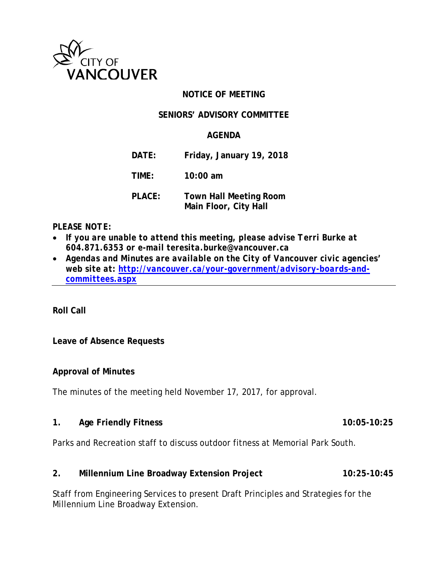

### **NOTICE OF MEETING**

#### **SENIORS' ADVISORY COMMITTEE**

### **AGENDA**

**DATE: Friday, January 19, 2018**

**TIME: 10:00 am**

**PLACE: Town Hall Meeting Room Main Floor, City Hall**

#### *PLEASE NOTE:*

- *If you are unable to attend this meeting, please advise Terri Burke at 604.871.6353 or e-mail teresita.burke@vancouver.ca*
- *Agendas and Minutes are available on the City of Vancouver civic agencies' web site at: [http://vancouver.ca/your-government/advisory-boards-and](http://vancouver.ca/your-government/advisory-boards-and-committees.aspx)[committees.aspx](http://vancouver.ca/your-government/advisory-boards-and-committees.aspx)*

**Roll Call**

#### **Leave of Absence Requests**

#### **Approval of Minutes**

The minutes of the meeting held November 17, 2017, for approval.

**1. Age Friendly Fitness 10:05-10:25**

Parks and Recreation staff to discuss outdoor fitness at Memorial Park South.

### **2. Millennium Line Broadway Extension Project 10:25-10:45**

Staff from Engineering Services to present Draft Principles and Strategies for the Millennium Line Broadway Extension.